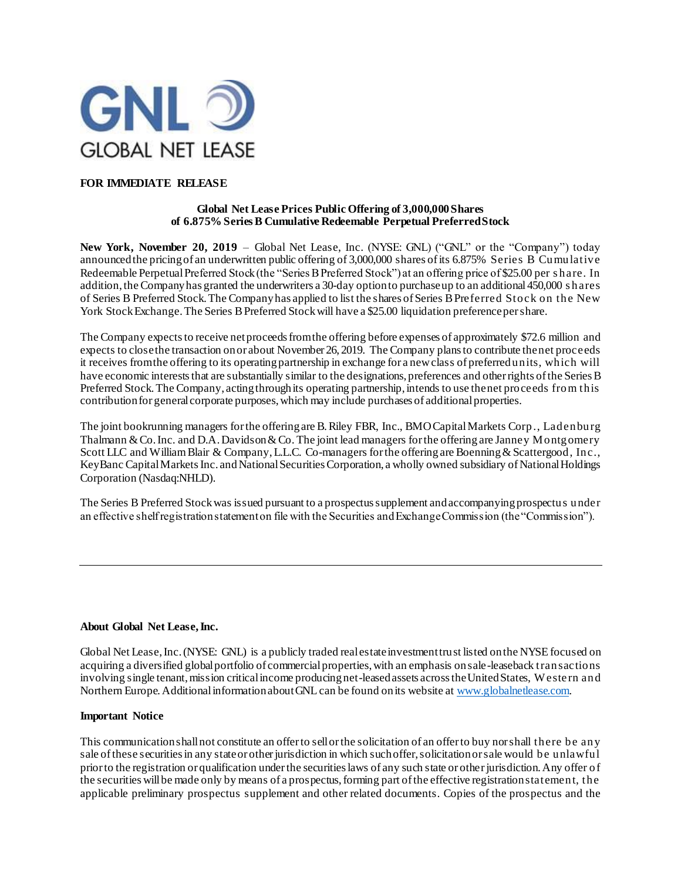

# **FOR IMMEDIATE RELEASE**

#### **Global Net Lease Prices Public Offering of 3,000,000Shares of 6.875% Series B Cumulative Redeemable Perpetual Preferred Stock**

New York, November 20, 2019 - Global Net Lease, Inc. (NYSE: GNL) ("GNL" or the "Company") today announced the pricing of an underwritten public offering of 3,000,000 shares of its 6.875% Series B Cumulative Redeemable Perpetual Preferred Stock (the "Series B Preferred Stock") at an offering price of \$25.00 per share. In addition, the Company has granted the underwriters a 30-day option to purchase up to an additional 450,000 s hares of Series B Preferred Stock. The Company has applied to list the shares of Series B Preferred Stock on the New York Stock Exchange. The Series B Preferred Stock will have a \$25.00 liquidation preference per share.

The Company expects to receive net proceeds from the offering before expenses of approximately \$72.6 million and expects to close the transaction on or about November 26, 2019. The Company plans to contribute the net proceeds it receives from the offering to its operating partnership in exchange for a new class of preferred units, which will have economic interests that are substantially similar to the designations, preferences and other rights of the Series B Preferred Stock. The Company, acting through its operating partnership, intends to use the net proceeds from this contribution for general corporate purposes, which may include purchases of additional properties.

The joint bookrunning managers for the offering are B. Riley FBR, Inc., BMO Capital Markets Corp., Ladenburg Thalmann & Co. Inc. and D.A. Davidson & Co. The joint lead managers for the offering are Janney Montgomery Scott LLC and William Blair & Company, L.L.C. Co-managers for the offering are Boenning & Scattergood, Inc., KeyBanc Capital Markets Inc. and National Securities Corporation, a wholly owned subsidiary of National Holdings Corporation (Nasdaq:NHLD).

The Series B Preferred Stock was issued pursuant to a prospectus supplement and accompanying prospectus under an effective shelf registration statement on file with the Securities and Exchange Commission (the "Commission").

## **About Global Net Lease, Inc.**

Global Net Lease, Inc. (NYSE: GNL) is a publicly traded real estate investment trust listed on the NYSE focused on acquiring a diversified global portfolio of commercial properties, with an emphasis on sale-leaseback transactions involving single tenant, mission critical income producing net-leased assets across the United States, W este rn and Northern Europe. Additional information about GNL can be found on its website a[t www.globalnetlease.com.](http://www.globalnetlease.com/)

## **Important Notice**

This communication shall not constitute an offer to sell or the solicitation of an offer to buy nor shall there be any sale of these securities in any state or other jurisdiction in which such offer, solicitation or sale would be unlawful prior to the registration or qualification under the securities laws of any such state or other jurisdiction. Any offer of the securities will be made only by means of a prospectus, forming part of the effective registration statement, the applicable preliminary prospectus supplement and other related documents. Copies of the prospectus and the